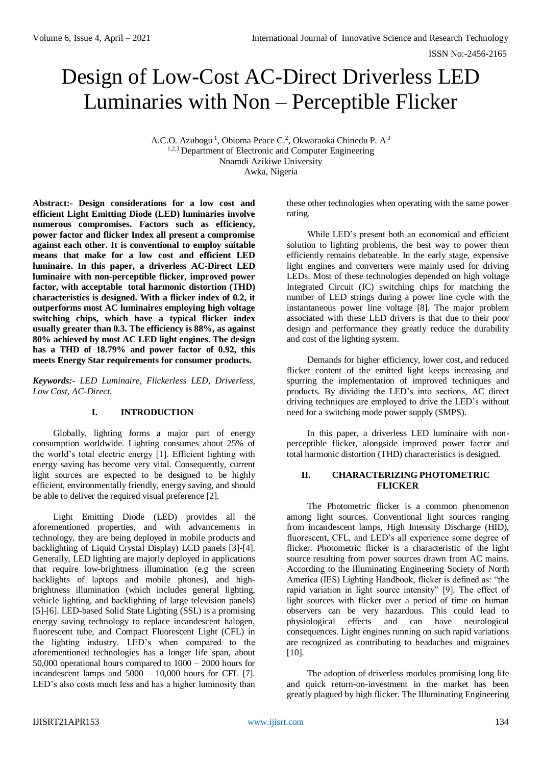# Design of Low-Cost AC-Direct Driverless LED Luminaries with Non – Perceptible Flicker

A.C.O. Azubogu<sup>1</sup>, Obioma Peace C.<sup>2</sup>, Okwaraoka Chinedu P. A<sup>3</sup> <sup>1,2,3</sup> Department of Electronic and Computer Engineering Nnamdi Azikiwe University Awka, Nigeria

**Abstract:- Design considerations for a low cost and efficient Light Emitting Diode (LED) luminaries involve numerous compromises. Factors such as efficiency, power factor and flicker Index all present a compromise against each other. It is conventional to employ suitable means that make for a low cost and efficient LED luminaire. In this paper, a driverless AC-Direct LED luminaire with non-perceptible flicker, improved power factor, with acceptable total harmonic distortion (THD) characteristics is designed. With a flicker index of 0.2, it outperforms most AC luminaires employing high voltage switching chips, which have a typical flicker index usually greater than 0.3. The efficiency is 88%, as against 80% achieved by most AC LED light engines. The design has a THD of 18.79% and power factor of 0.92, this meets Energy Star requirements for consumer products.**

*Keywords:- LED Luminaire, Flickerless LED, Driverless, Low Cost, AC-Direct.*

## **I. INTRODUCTION**

Globally, lighting forms a major part of energy consumption worldwide. Lighting consumes about 25% of the world's total electric energy [1]. Efficient lighting with energy saving has become very vital. Consequently, current light sources are expected to be designed to be highly efficient, environmentally friendly, energy saving, and should be able to deliver the required visual preference [2].

Light Emitting Diode (LED) provides all the aforementioned properties, and with advancements in technology, they are being deployed in mobile products and backlighting of Liquid Crystal Display) LCD panels [3]-[4]. Generally, LED lighting are majorly deployed in applications that require low-brightness illumination (e.g the screen backlights of laptops and mobile phones), and highbrightness illumination (which includes general lighting, vehicle lighting, and backlighting of large television panels) [5]-[6]. LED-based Solid State Lighting (SSL) is a promising energy saving technology to replace incandescent halogen, fluorescent tube, and Compact Fluorescent Light (CFL) in the lighting industry. LED's when compared to the aforementioned technologies has a longer life span, about 50,000 operational hours compared to 1000 – 2000 hours for incandescent lamps and 5000 – 10,000 hours for CFL [7]. LED's also costs much less and has a higher luminosity than

these other technologies when operating with the same power rating.

While LED's present both an economical and efficient solution to lighting problems, the best way to power them efficiently remains debateable. In the early stage, expensive light engines and converters were mainly used for driving LEDs. Most of these technologies depended on high voltage Integrated Circuit (IC) switching chips for matching the number of LED strings during a power line cycle with the instantaneous power line voltage [8]. The major problem associated with these LED drivers is that due to their poor design and performance they greatly reduce the durability and cost of the lighting system.

Demands for higher efficiency, lower cost, and reduced flicker content of the emitted light keeps increasing and spurring the implementation of improved techniques and products. By dividing the LED's into sections, AC direct driving techniques are employed to drive the LED's without need for a switching mode power supply (SMPS).

In this paper, a driverless LED luminaire with nonperceptible flicker, alongside improved power factor and total harmonic distortion (THD) characteristics is designed.

#### **II. CHARACTERIZING PHOTOMETRIC FLICKER**

The Photometric flicker is a common phenomenon among light sources. Conventional light sources ranging from incandescent lamps, High Intensity Discharge (HID), fluorescent, CFL, and LED's all experience some degree of flicker. Photometric flicker is a characteristic of the light source resulting from power sources drawn from AC mains. According to the Illuminating Engineering Society of North America (IES) Lighting Handbook, flicker is defined as: "the rapid variation in light source intensity" [9]. The effect of light sources with flicker over a period of time on human observers can be very hazardous. This could lead to physiological effects and can have neurological consequences. Light engines running on such rapid variations are recognized as contributing to headaches and migraines [10].

The adoption of driverless modules promising long life and quick return-on-investment in the market has been greatly plagued by high flicker. The Illuminating Engineering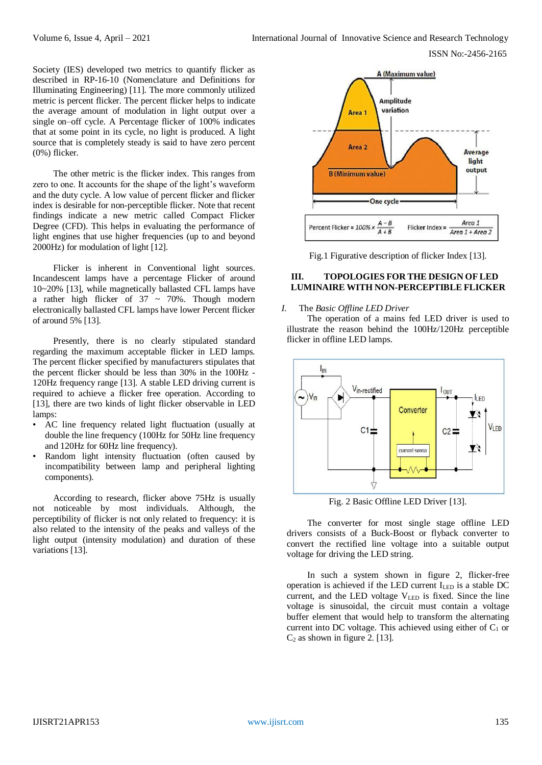Society (IES) developed two metrics to quantify flicker as described in RP-16-10 (Nomenclature and Definitions for Illuminating Engineering) [11]. The more commonly utilized metric is percent flicker. The percent flicker helps to indicate the average amount of modulation in light output over a single on–off cycle. A Percentage flicker of 100% indicates that at some point in its cycle, no light is produced. A light source that is completely steady is said to have zero percent (0%) flicker.

The other metric is the flicker index. This ranges from zero to one. It accounts for the shape of the light's waveform and the duty cycle. A low value of percent flicker and flicker index is desirable for non-perceptible flicker. Note that recent findings indicate a new metric called Compact Flicker Degree (CFD). This helps in evaluating the performance of light engines that use higher frequencies (up to and beyond 2000Hz) for modulation of light [12].

Flicker is inherent in Conventional light sources. Incandescent lamps have a percentage Flicker of around 10~20% [13], while magnetically ballasted CFL lamps have a rather high flicker of  $37 \sim 70\%$ . Though modern electronically ballasted CFL lamps have lower Percent flicker of around 5% [13].

Presently, there is no clearly stipulated standard regarding the maximum acceptable flicker in LED lamps. The percent flicker specified by manufacturers stipulates that the percent flicker should be less than 30% in the 100Hz - 120Hz frequency range [13]. A stable LED driving current is required to achieve a flicker free operation. According to [13], there are two kinds of light flicker observable in LED lamps:

- AC line frequency related light fluctuation (usually at double the line frequency (100Hz for 50Hz line frequency and 120Hz for 60Hz line frequency).
- Random light intensity fluctuation (often caused by incompatibility between lamp and peripheral lighting components).

According to research, flicker above 75Hz is usually not noticeable by most individuals. Although, the perceptibility of flicker is not only related to frequency: it is also related to the intensity of the peaks and valleys of the light output (intensity modulation) and duration of these variations [13].



Fig.1 Figurative description of flicker Index [13].

### **III. TOPOLOGIES FOR THE DESIGN OF LED LUMINAIRE WITH NON-PERCEPTIBLE FLICKER**

## *I.* The *Basic Offline LED Driver*

The operation of a mains fed LED driver is used to illustrate the reason behind the 100Hz/120Hz perceptible flicker in offline LED lamps.



Fig. 2 Basic Offline LED Driver [13].

The converter for most single stage offline LED drivers consists of a Buck-Boost or flyback converter to convert the rectified line voltage into a suitable output voltage for driving the LED string.

In such a system shown in figure 2, flicker-free operation is achieved if the LED current ILED is a stable DC current, and the LED voltage  $V_{LED}$  is fixed. Since the line voltage is sinusoidal, the circuit must contain a voltage buffer element that would help to transform the alternating current into DC voltage. This achieved using either of  $C_1$  or  $C_2$  as shown in figure 2. [13].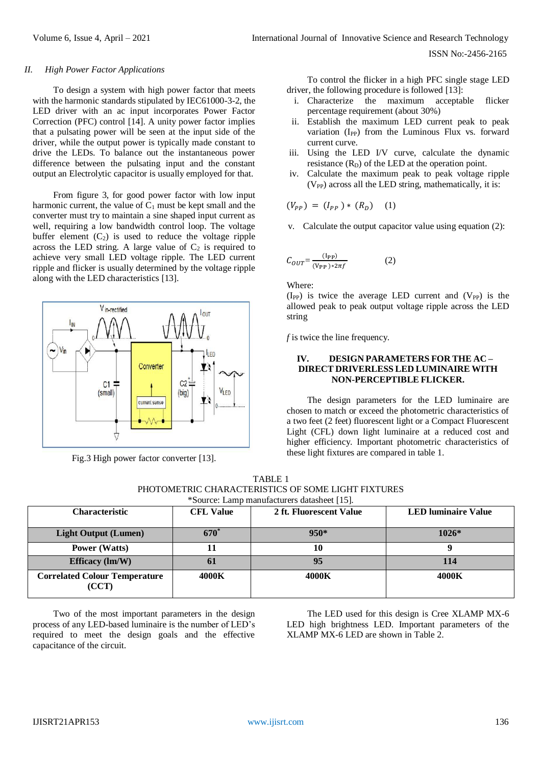#### *II. High Power Factor Applications*

To design a system with high power factor that meets with the harmonic standards stipulated by IEC61000-3-2, the LED driver with an ac input incorporates Power Factor Correction (PFC) control [14]. A unity power factor implies that a pulsating power will be seen at the input side of the driver, while the output power is typically made constant to drive the LEDs. To balance out the instantaneous power difference between the pulsating input and the constant output an Electrolytic capacitor is usually employed for that.

From figure 3, for good power factor with low input harmonic current, the value of  $C_1$  must be kept small and the converter must try to maintain a sine shaped input current as well, requiring a low bandwidth control loop. The voltage buffer element  $(C_2)$  is used to reduce the voltage ripple across the LED string. A large value of  $C_2$  is required to achieve very small LED voltage ripple. The LED current ripple and flicker is usually determined by the voltage ripple along with the LED characteristics [13].



Fig.3 High power factor converter [13].

To control the flicker in a high PFC single stage LED driver, the following procedure is followed [13]:

- i. Characterize the maximum acceptable flicker percentage requirement (about 30%)
- ii. Establish the maximum LED current peak to peak variation (I<sub>PP</sub>) from the Luminous Flux vs. forward current curve.
- iii. Using the LED I/V curve, calculate the dynamic resistance  $(R_D)$  of the LED at the operation point.
- iv. Calculate the maximum peak to peak voltage ripple  $(V_{PP})$  across all the LED string, mathematically, it is:

$$
(V_{PP}) = (I_{PP}) * (R_D) \quad (1)
$$

v. Calculate the output capacitor value using equation (2):

$$
C_{OUT} = \frac{(\text{I}_{PP})}{(\text{V}_{PP}) \times 2\pi f} \tag{2}
$$

Where:

 $(I_{PP})$  is twice the average LED current and  $(V_{PP})$  is the allowed peak to peak output voltage ripple across the LED string

*f* is twice the line frequency.

#### **IV. DESIGN PARAMETERS FOR THE AC – DIRECT DRIVERLESS LED LUMINAIRE WITH NON-PERCEPTIBLE FLICKER.**

The design parameters for the LED luminaire are chosen to match or exceed the photometric characteristics of a two feet (2 feet) fluorescent light or a Compact Fluorescent Light (CFL) down light luminaire at a reduced cost and higher efficiency. Important photometric characteristics of these light fixtures are compared in table 1.

| TABLE 1                                            |
|----------------------------------------------------|
| PHOTOMETRIC CHARACTERISTICS OF SOME LIGHT FIXTURES |
| *Source: Lamp manufacturers datasheet [15].        |

| $\beta$ bource. Early manufacturers databased $\beta$ . |                        |                         |                            |
|---------------------------------------------------------|------------------------|-------------------------|----------------------------|
| <b>Characteristic</b>                                   | <b>CFL Value</b>       | 2 ft. Fluorescent Value | <b>LED</b> luminaire Value |
|                                                         |                        |                         |                            |
|                                                         |                        |                         |                            |
| <b>Light Output (Lumen)</b>                             | <b>670<sup>*</sup></b> | $950*$                  | $1026*$                    |
|                                                         |                        |                         |                            |
| <b>Power</b> (Watts)                                    |                        | 10                      |                            |
|                                                         |                        |                         |                            |
| Efficacy $(\text{Im}/\text{W})$                         | 0 <sub>1</sub>         | 95                      | 114                        |
|                                                         |                        |                         |                            |
| <b>Correlated Colour Temperature</b>                    | 4000K                  | 4000K                   | 4000K                      |
|                                                         |                        |                         |                            |
| (CCT)                                                   |                        |                         |                            |
|                                                         |                        |                         |                            |

Two of the most important parameters in the design process of any LED-based luminaire is the number of LED's required to meet the design goals and the effective capacitance of the circuit.

The LED used for this design is Cree XLAMP MX-6 LED high brightness LED. Important parameters of the XLAMP MX-6 LED are shown in Table 2.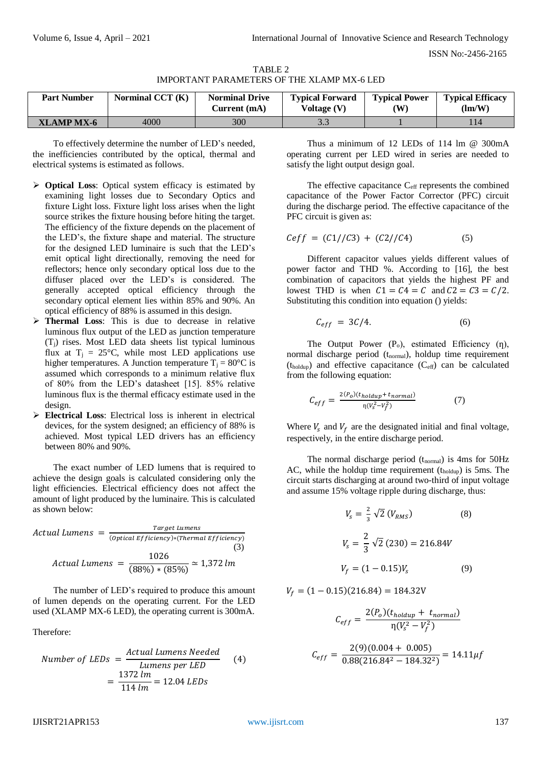ISSN No:-2456-2165

| TABLE 2                                           |  |
|---------------------------------------------------|--|
| <b>IMPORTANT PARAMETERS OF THE XLAMP MX-6 LED</b> |  |

| <b>Part Number</b> | Norminal CCT (K) | <b>Norminal Drive</b><br>Current (mA) | <b>Typical Forward</b><br>Voltage $(V)$ | <b>Typical Power</b><br>$(\mathbf{W})$ | <b>Typical Efficacy</b><br>$\text{Im}/\text{W}$ |
|--------------------|------------------|---------------------------------------|-----------------------------------------|----------------------------------------|-------------------------------------------------|
| XLAMP MX-6         | 4000             | 300                                   |                                         |                                        |                                                 |

To effectively determine the number of LED's needed, the inefficiencies contributed by the optical, thermal and electrical systems is estimated as follows.

- **Optical Loss**: Optical system efficacy is estimated by examining light losses due to Secondary Optics and fixture Light loss. Fixture light loss arises when the light source strikes the fixture housing before hiting the target. The efficiency of the fixture depends on the placement of the LED's, the fixture shape and material. The structure for the designed LED luminaire is such that the LED's emit optical light directionally, removing the need for reflectors; hence only secondary optical loss due to the diffuser placed over the LED's is considered. The generally accepted optical efficiency through the secondary optical element lies within 85% and 90%. An optical efficiency of 88% is assumed in this design.
- **Thermal Loss**: This is due to decrease in relative luminous flux output of the LED as junction temperature (Tj) rises. Most LED data sheets list typical luminous flux at  $T_j = 25$ °C, while most LED applications use higher temperatures. A Junction temperature  $T_i = 80^{\circ}C$  is assumed which corresponds to a minimum relative flux of 80% from the LED's datasheet [15]. 85% relative luminous flux is the thermal efficacy estimate used in the design.
- **Electrical Loss**: Electrical loss is inherent in electrical devices, for the system designed; an efficiency of 88% is achieved. Most typical LED drivers has an efficiency between 80% and 90%.

The exact number of LED lumens that is required to achieve the design goals is calculated considering only the light efficiencies. Electrical efficiency does not affect the amount of light produced by the luminaire. This is calculated as shown below:

Actual Lumens = 
$$
\frac{Target\ Lumens}{(Optical\ Efficiency)*(Thermal\ Efficiency)}
$$
\n(3)  
\nActual Lumens = 
$$
\frac{1026}{(88\%) * (85\%)} \approx 1,372 \text{ lm}
$$

The number of LED's required to produce this amount of lumen depends on the operating current. For the LED used (XLAMP MX-6 LED), the operating current is 300mA.

Therefore:

Number of LEDs = 
$$
\frac{Actual \, Lumens \, Needed}{Lumens \, per \, LED}
$$

$$
= \frac{1372 \, lm}{114 \, lm} = 12.04 \, LEDs
$$
 (4)

Thus a minimum of 12 LEDs of 114 lm @ 300mA operating current per LED wired in series are needed to satisfy the light output design goal.

The effective capacitance  $C_{\text{eff}}$  represents the combined capacitance of the Power Factor Corrector (PFC) circuit during the discharge period. The effective capacitance of the PFC circuit is given as:

$$
Ceff = (C1//C3) + (C2//C4)
$$
 (5)

Different capacitor values yields different values of power factor and THD %. According to [16], the best combination of capacitors that yields the highest PF and lowest THD is when  $C1 = C4 = C$  and  $C2 = C3 = C/2$ . Substituting this condition into equation () yields:

$$
C_{eff} = 3C/4. \tag{6}
$$

The Output Power  $(P_0)$ , estimated Efficiency  $(n)$ , normal discharge period (t<sub>normal</sub>), holdup time requirement  $(t_{\text{holdup}})$  and effective capacitance  $(C_{\text{eff}})$  can be calculated from the following equation:

$$
C_{eff} = \frac{2(P_0)(t_{holdup} + t_{normal})}{\eta(V_s^2 - V_f^2)}
$$
(7)

Where  $V_s$  and  $V_f$  are the designated initial and final voltage, respectively, in the entire discharge period.

The normal discharge period  $(t_{normal})$  is 4ms for 50Hz AC, while the holdup time requirement  $(t_{\text{holdup}})$  is 5ms. The circuit starts discharging at around two-third of input voltage and assume 15% voltage ripple during discharge, thus:

$$
V_s = \frac{2}{3} \sqrt{2} (V_{RMS})
$$
(8)  

$$
V_s = \frac{2}{3} \sqrt{2} (230) = 216.84V
$$
  

$$
V_f = (1 - 0.15)V_s
$$
(9)

 $V_f = (1 - 0.15)(216.84) = 184.32V$ 

$$
C_{eff} = \frac{2(P_o)(t_{holdup} + t_{normal})}{\eta(V_s^2 - V_f^2)}
$$

$$
C_{eff} = \frac{2(9)(0.004 + 0.005)}{0.88(216.84^2 - 184.32^2)} = 14.11 \mu f
$$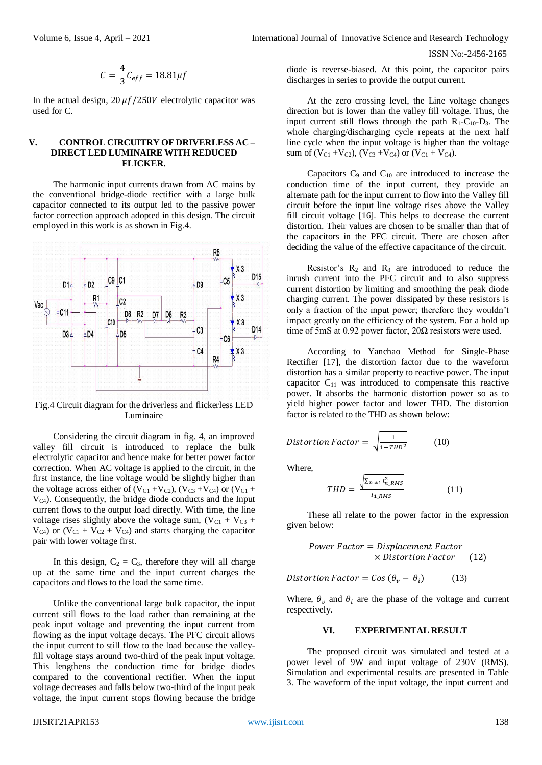$$
C = \frac{4}{3}C_{eff} = 18.81 \mu f
$$

In the actual design,  $20 \mu f / 250V$  electrolytic capacitor was used for C.

#### **V. CONTROL CIRCUITRY OF DRIVERLESS AC – DIRECT LED LUMINAIRE WITH REDUCED FLICKER.**

The harmonic input currents drawn from AC mains by the conventional bridge-diode rectifier with a large bulk capacitor connected to its output led to the passive power factor correction approach adopted in this design. The circuit employed in this work is as shown in Fig.4.



Fig.4 Circuit diagram for the driverless and flickerless LED Luminaire

Considering the circuit diagram in fig. 4, an improved valley fill circuit is introduced to replace the bulk electrolytic capacitor and hence make for better power factor correction. When AC voltage is applied to the circuit, in the first instance, the line voltage would be slightly higher than the voltage across either of  $(V_{C1} + V_{C2})$ ,  $(V_{C3} + V_{C4})$  or  $(V_{C1} + V_{C4})$  $V_{C4}$ ). Consequently, the bridge diode conducts and the Input current flows to the output load directly. With time, the line voltage rises slightly above the voltage sum,  $(V_{C1} + V_{C3} +$  $V_{C4}$ ) or  $(V_{C1} + V_{C2} + V_{C4})$  and starts charging the capacitor pair with lower voltage first.

In this design,  $C_2 = C_3$ , therefore they will all charge up at the same time and the input current charges the capacitors and flows to the load the same time.

Unlike the conventional large bulk capacitor, the input current still flows to the load rather than remaining at the peak input voltage and preventing the input current from flowing as the input voltage decays. The PFC circuit allows the input current to still flow to the load because the valleyfill voltage stays around two-third of the peak input voltage. This lengthens the conduction time for bridge diodes compared to the conventional rectifier. When the input voltage decreases and falls below two-third of the input peak voltage, the input current stops flowing because the bridge diode is reverse-biased. At this point, the capacitor pairs discharges in series to provide the output current.

At the zero crossing level, the Line voltage changes direction but is lower than the valley fill voltage. Thus, the input current still flows through the path  $R_1-C_{10}-D_3$ . The whole charging/discharging cycle repeats at the next half line cycle when the input voltage is higher than the voltage sum of  $(V_{C1} + V_{C2})$ ,  $(V_{C3} + V_{C4})$  or  $(V_{C1} + V_{C4})$ .

Capacitors  $C_9$  and  $C_{10}$  are introduced to increase the conduction time of the input current, they provide an alternate path for the input current to flow into the Valley fill circuit before the input line voltage rises above the Valley fill circuit voltage [16]. This helps to decrease the current distortion. Their values are chosen to be smaller than that of the capacitors in the PFC circuit. There are chosen after deciding the value of the effective capacitance of the circuit.

Resistor's  $R_2$  and  $R_3$  are introduced to reduce the inrush current into the PFC circuit and to also suppress current distortion by limiting and smoothing the peak diode charging current. The power dissipated by these resistors is only a fraction of the input power; therefore they wouldn't impact greatly on the efficiency of the system. For a hold up time of 5mS at 0.92 power factor,  $20\Omega$  resistors were used.

According to Yanchao Method for Single-Phase Rectifier [17], the distortion factor due to the waveform distortion has a similar property to reactive power. The input capacitor  $C_{11}$  was introduced to compensate this reactive power. It absorbs the harmonic distortion power so as to yield higher power factor and lower THD. The distortion factor is related to the THD as shown below:

$$
Distortion Factor = \sqrt{\frac{1}{1 + THD^2}}
$$
 (10)

Where,

$$
THD = \frac{\sqrt{\sum_{n \neq 1} l_{n,RMS}^2}}{l_{1,RMS}}
$$
(11)

These all relate to the power factor in the expression given below:

$$
Power Factor = Displacement Factor \times Distribution Factor \qquad (12)
$$

Distortion Factor =  $Cos (\theta_p - \theta_i)$ ) (13)

Where,  $\theta_{v}$  and  $\theta_{i}$  are the phase of the voltage and current respectively.

## **VI. EXPERIMENTAL RESULT**

The proposed circuit was simulated and tested at a power level of 9W and input voltage of 230V (RMS). Simulation and experimental results are presented in Table 3. The waveform of the input voltage, the input current and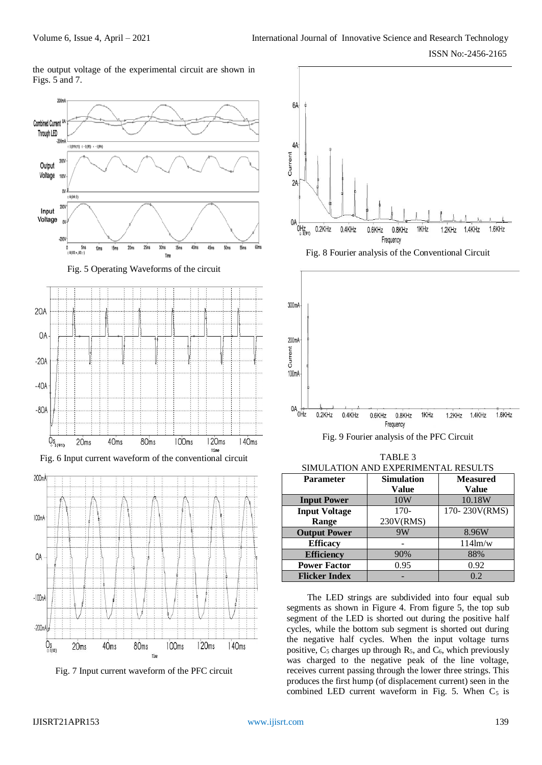the output voltage of the experimental circuit are shown in Figs. 5 and 7.





Fig. 7 Input current waveform of the PFC circuit





TABLE 3 SIMUL ATION AND EXPERIMENTAL RESULTS

| <b>Parameter</b>     | <b>Simulation</b> | <b>Measured</b>   |  |
|----------------------|-------------------|-------------------|--|
|                      | Value             | <b>Value</b>      |  |
| <b>Input Power</b>   | 10W               | 10.18W            |  |
| <b>Input Voltage</b> | $170-$            | 170-230V(RMS)     |  |
| Range                | 230V(RMS)         |                   |  |
| <b>Output Power</b>  | 9W                | 8.96W             |  |
| <b>Efficacy</b>      |                   | $114 \text{lm/w}$ |  |
| <b>Efficiency</b>    | 90%               | 88%               |  |
| <b>Power Factor</b>  | 0.95              | 0.92              |  |
| <b>Flicker Index</b> |                   | 0.2               |  |

The LED strings are subdivided into four equal sub segments as shown in Figure 4. From figure 5, the top sub segment of the LED is shorted out during the positive half cycles, while the bottom sub segment is shorted out during the negative half cycles. When the input voltage turns positive,  $C_5$  charges up through  $R_5$ , and  $C_6$ , which previously was charged to the negative peak of the line voltage, receives current passing through the lower three strings. This produces the first hump (of displacement current) seen in the combined LED current waveform in Fig. 5. When  $C_5$  is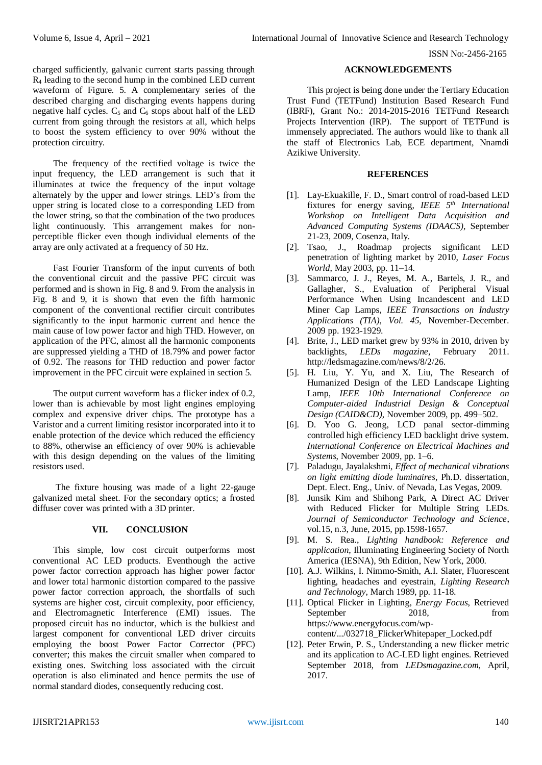charged sufficiently, galvanic current starts passing through R<sup>4</sup> leading to the second hump in the combined LED current waveform of Figure. 5. A complementary series of the described charging and discharging events happens during negative half cycles.  $C_5$  and  $C_6$  stops about half of the LED current from going through the resistors at all, which helps to boost the system efficiency to over 90% without the protection circuitry.

The frequency of the rectified voltage is twice the input frequency, the LED arrangement is such that it illuminates at twice the frequency of the input voltage alternately by the upper and lower strings. LED's from the upper string is located close to a corresponding LED from the lower string, so that the combination of the two produces light continuously. This arrangement makes for nonperceptible flicker even though individual elements of the array are only activated at a frequency of 50 Hz.

Fast Fourier Transform of the input currents of both the conventional circuit and the passive PFC circuit was performed and is shown in Fig. 8 and 9. From the analysis in Fig. 8 and 9, it is shown that even the fifth harmonic component of the conventional rectifier circuit contributes significantly to the input harmonic current and hence the main cause of low power factor and high THD. However, on application of the PFC, almost all the harmonic components are suppressed yielding a THD of 18.79% and power factor of 0.92. The reasons for THD reduction and power factor improvement in the PFC circuit were explained in section 5.

The output current waveform has a flicker index of 0.2, lower than is achievable by most light engines employing complex and expensive driver chips. The prototype has a Varistor and a current limiting resistor incorporated into it to enable protection of the device which reduced the efficiency to 88%, otherwise an efficiency of over 90% is achievable with this design depending on the values of the limiting resistors used.

The fixture housing was made of a light 22-gauge galvanized metal sheet. For the secondary optics; a frosted diffuser cover was printed with a 3D printer.

# **VII. CONCLUSION**

This simple, low cost circuit outperforms most conventional AC LED products. Eventhough the active power factor correction approach has higher power factor and lower total harmonic distortion compared to the passive power factor correction approach, the shortfalls of such systems are higher cost, circuit complexity, poor efficiency, and Electromagnetic Interference (EMI) issues. The proposed circuit has no inductor, which is the bulkiest and largest component for conventional LED driver circuits employing the boost Power Factor Corrector (PFC) converter; this makes the circuit smaller when compared to existing ones. Switching loss associated with the circuit operation is also eliminated and hence permits the use of normal standard diodes, consequently reducing cost.

## **ACKNOWLEDGEMENTS**

This project is being done under the Tertiary Education Trust Fund (TETFund) Institution Based Research Fund (IBRF), Grant No.: 2014-2015-2016 TETFund Research Projects Intervention (IRP). The support of TETFund is immensely appreciated. The authors would like to thank all the staff of Electronics Lab, ECE department, Nnamdi Azikiwe University.

## **REFERENCES**

- [1]. Lay-Ekuakille, F. D., Smart control of road-based LED fixtures for energy saving, *IEEE 5th International Workshop on Intelligent Data Acquisition and Advanced Computing Systems (IDAACS)*, September 21-23, 2009, Cosenza, Italy.
- [2]. Tsao, J., Roadmap projects significant LED penetration of lighting market by 2010, *Laser Focus World*, May 2003, pp. 11–14.
- [3]. Sammarco, J. J., Reyes, M. A., Bartels, J. R., and Gallagher, S., Evaluation of Peripheral Visual Performance When Using Incandescent and LED Miner Cap Lamps, *IEEE Transactions on Industry Applications (TIA), Vol. 45,* November-December. 2009 pp. 1923-1929.
- [4]. Brite, J., LED market grew by 93% in 2010, driven by backlights, *LEDs magazine*, February 2011. http://ledsmagazine.com/news/8/2/26.
- [5]. H. Liu, Y. Yu, and X. Liu, The Research of Humanized Design of the LED Landscape Lighting Lamp, *IEEE 10th International Conference on Computer-aided Industrial Design & Conceptual Design (CAID&CD)*, November 2009, pp. 499–502.
- [6]. D. Yoo G. Jeong, LCD panal sector-dimming controlled high efficiency LED backlight drive system. *International Conference on Electrical Machines and Systems*, November 2009, pp. 1–6.
- [7]. Paladugu, Jayalakshmi, *Effect of mechanical vibrations on light emitting diode luminaires*, Ph.D. dissertation, Dept. Elect. Eng., Univ. of Nevada, Las Vegas, 2009.
- [8]. Junsik Kim and Shihong Park, A Direct AC Driver with Reduced Flicker for Multiple String LEDs. *Journal of Semiconductor Technology and Science*, vol.15, n.3, June, 2015, pp.1598-1657.
- [9]. M. S. Rea., *Lighting handbook: Reference and application*, Illuminating Engineering Society of North America (IESNA), 9th Edition, New York, 2000.
- [10]. A.J. Wilkins, I. Nimmo-Smith, A.I. Slater, Fluorescent lighting, headaches and eyestrain, *Lighting Research and Technology*, March 1989, pp. 11-18.
- [11]. Optical Flicker in Lighting, *Energy Focus*, Retrieved September 2018, from https://www.energyfocus.com/wpcontent/.../032718\_FlickerWhitepaper\_Locked.pdf
- [12]. Peter Erwin, P. S., Understanding a new flicker metric and its application to AC-LED light engines. Retrieved September 2018, from *LEDsmagazine.com*, April, 2017.